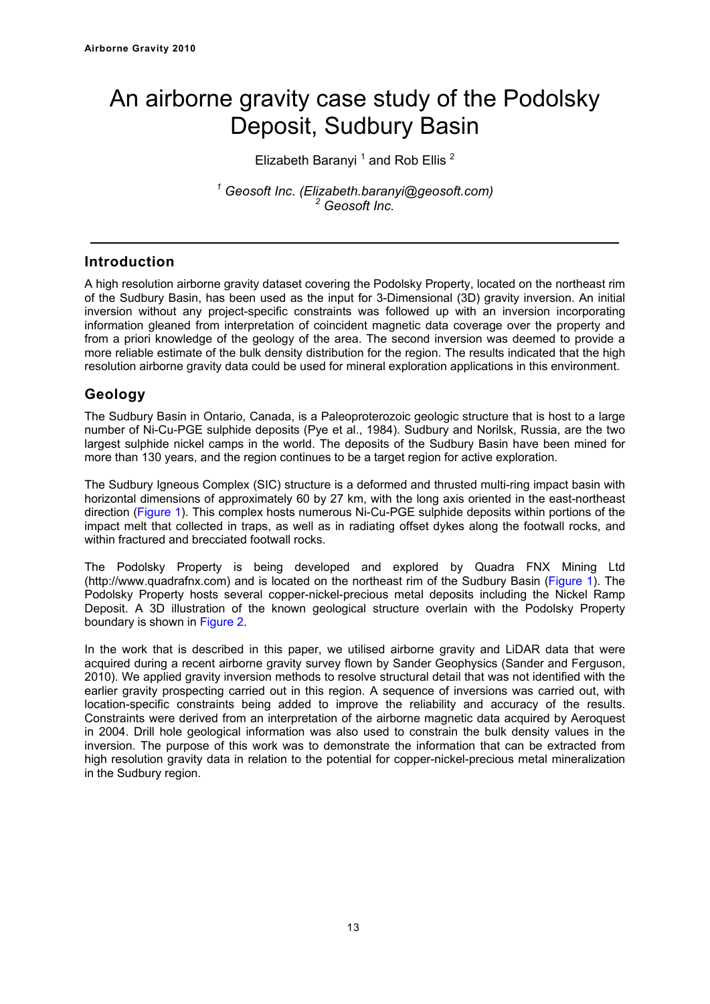# An airborne gravity case study of the Podolsky Deposit, Sudbury Basin

Elizabeth Baranyi<sup>1</sup> and Rob Ellis<sup>2</sup>

*1 Geosoft Inc. (Elizabeth.baranyi@geosoft.com) 2 Geosoft Inc.* 

### **Introduction**

A high resolution airborne gravity dataset covering the Podolsky Property, located on the northeast rim of the Sudbury Basin, has been used as the input for 3-Dimensional (3D) gravity inversion. An initial inversion without any project-specific constraints was followed up with an inversion incorporating information gleaned from interpretation of coincident magnetic data coverage over the property and from a priori knowledge of the geology of the area. The second inversion was deemed to provide a more reliable estimate of the bulk density distribution for the region. The results indicated that the high resolution airborne gravity data could be used for mineral exploration applications in this environment.

# **Geology**

The Sudbury Basin in Ontario, Canada, is a Paleoproterozoic geologic structure that is host to a large number of Ni-Cu-PGE sulphide deposits (Pye et al., 1984). Sudbury and Norilsk, Russia, are the two largest sulphide nickel camps in the world. The deposits of the Sudbury Basin have been mined for more than 130 years, and the region continues to be a target region for active exploration.

The Sudbury Igneous Complex (SIC) structure is a deformed and thrusted multi-ring impact basin with horizontal dimensions of approximately 60 by 27 km, with the long axis oriented in the east-northeast direction (Figure 1). This complex hosts numerous Ni-Cu-PGE sulphide deposits within portions of the impact melt that collected in traps, as well as in radiating offset dykes along the footwall rocks, and within fractured and brecciated footwall rocks.

The Podolsky Property is being developed and explored by Quadra FNX Mining Ltd (http://www.quadrafnx.com) and is located on the northeast rim of the Sudbury Basin (Figure 1). The Podolsky Property hosts several copper-nickel-precious metal deposits including the Nickel Ramp Deposit. A 3D illustration of the known geological structure overlain with the Podolsky Property boundary is shown in Figure 2.

In the work that is described in this paper, we utilised airborne gravity and LiDAR data that were acquired during a recent airborne gravity survey flown by Sander Geophysics (Sander and Ferguson, 2010). We applied gravity inversion methods to resolve structural detail that was not identified with the earlier gravity prospecting carried out in this region. A sequence of inversions was carried out, with location-specific constraints being added to improve the reliability and accuracy of the results. Constraints were derived from an interpretation of the airborne magnetic data acquired by Aeroquest in 2004. Drill hole geological information was also used to constrain the bulk density values in the inversion. The purpose of this work was to demonstrate the information that can be extracted from high resolution gravity data in relation to the potential for copper-nickel-precious metal mineralization in the Sudbury region.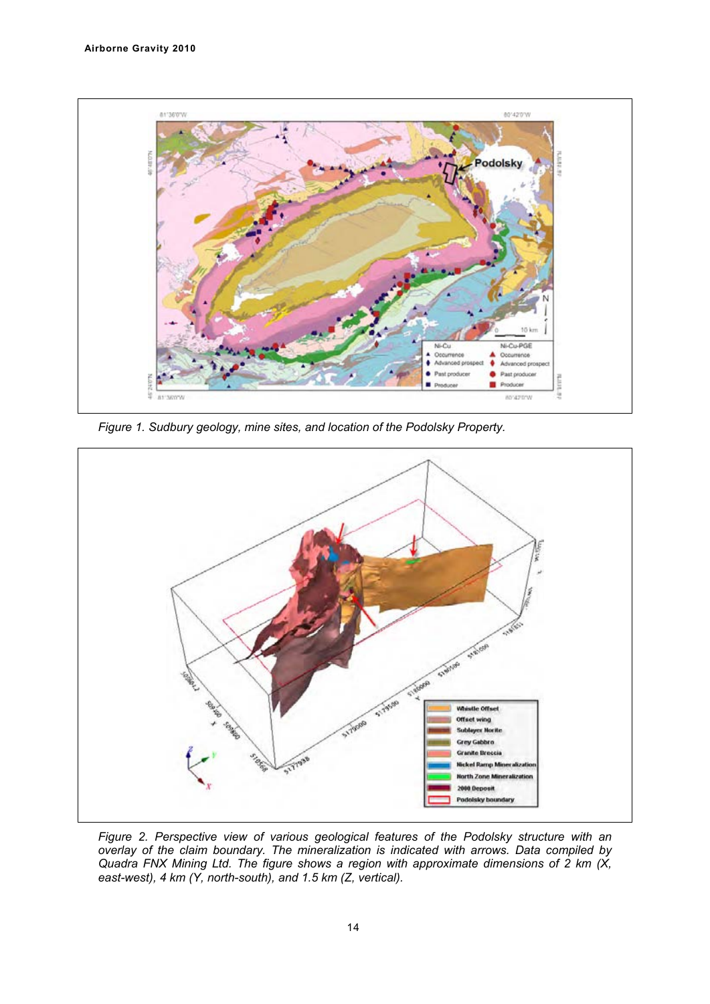

*Figure 1. Sudbury geology, mine sites, and location of the Podolsky Property.* 



*Figure 2. Perspective view of various geological features of the Podolsky structure with an overlay of the claim boundary. The mineralization is indicated with arrows. Data compiled by Quadra FNX Mining Ltd. The figure shows a region with approximate dimensions of 2 km (X, east-west), 4 km (Y, north-south), and 1.5 km (Z, vertical).*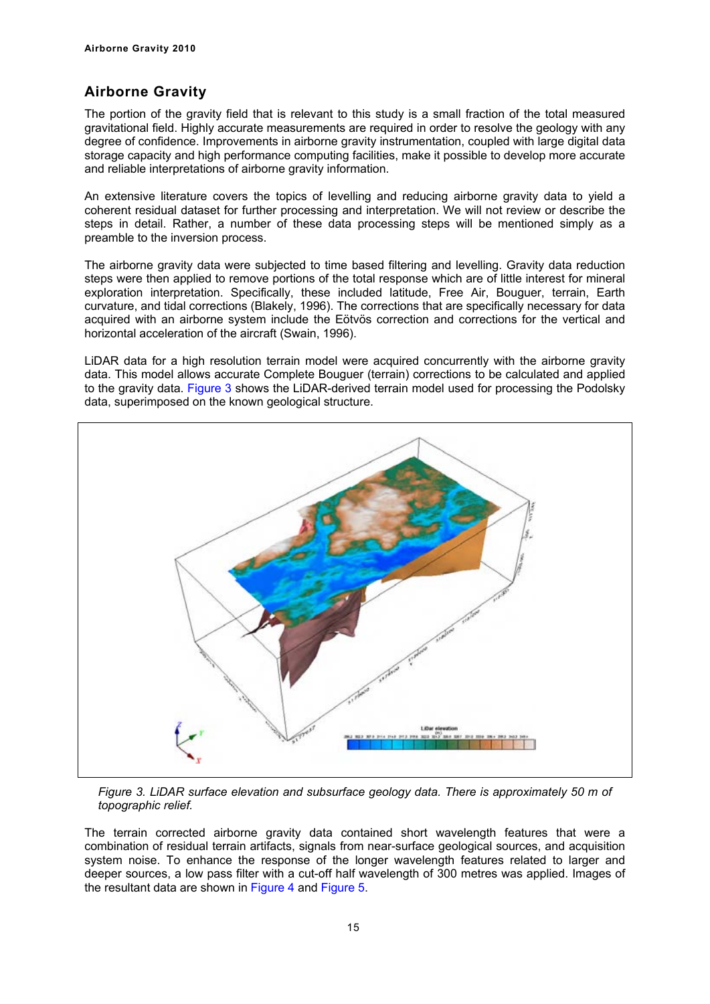# **Airborne Gravity**

The portion of the gravity field that is relevant to this study is a small fraction of the total measured gravitational field. Highly accurate measurements are required in order to resolve the geology with any degree of confidence. Improvements in airborne gravity instrumentation, coupled with large digital data storage capacity and high performance computing facilities, make it possible to develop more accurate and reliable interpretations of airborne gravity information.

An extensive literature covers the topics of levelling and reducing airborne gravity data to yield a coherent residual dataset for further processing and interpretation. We will not review or describe the steps in detail. Rather, a number of these data processing steps will be mentioned simply as a preamble to the inversion process.

The airborne gravity data were subjected to time based filtering and levelling. Gravity data reduction steps were then applied to remove portions of the total response which are of little interest for mineral exploration interpretation. Specifically, these included latitude, Free Air, Bouguer, terrain, Earth curvature, and tidal corrections (Blakely, 1996). The corrections that are specifically necessary for data acquired with an airborne system include the Eötvös correction and corrections for the vertical and horizontal acceleration of the aircraft (Swain, 1996).

LiDAR data for a high resolution terrain model were acquired concurrently with the airborne gravity data. This model allows accurate Complete Bouguer (terrain) corrections to be calculated and applied to the gravity data. Figure 3 shows the LiDAR-derived terrain model used for processing the Podolsky data, superimposed on the known geological structure.



*Figure 3. LiDAR surface elevation and subsurface geology data. There is approximately 50 m of topographic relief.* 

The terrain corrected airborne gravity data contained short wavelength features that were a combination of residual terrain artifacts, signals from near-surface geological sources, and acquisition system noise. To enhance the response of the longer wavelength features related to larger and deeper sources, a low pass filter with a cut-off half wavelength of 300 metres was applied. Images of the resultant data are shown in Figure 4 and Figure 5.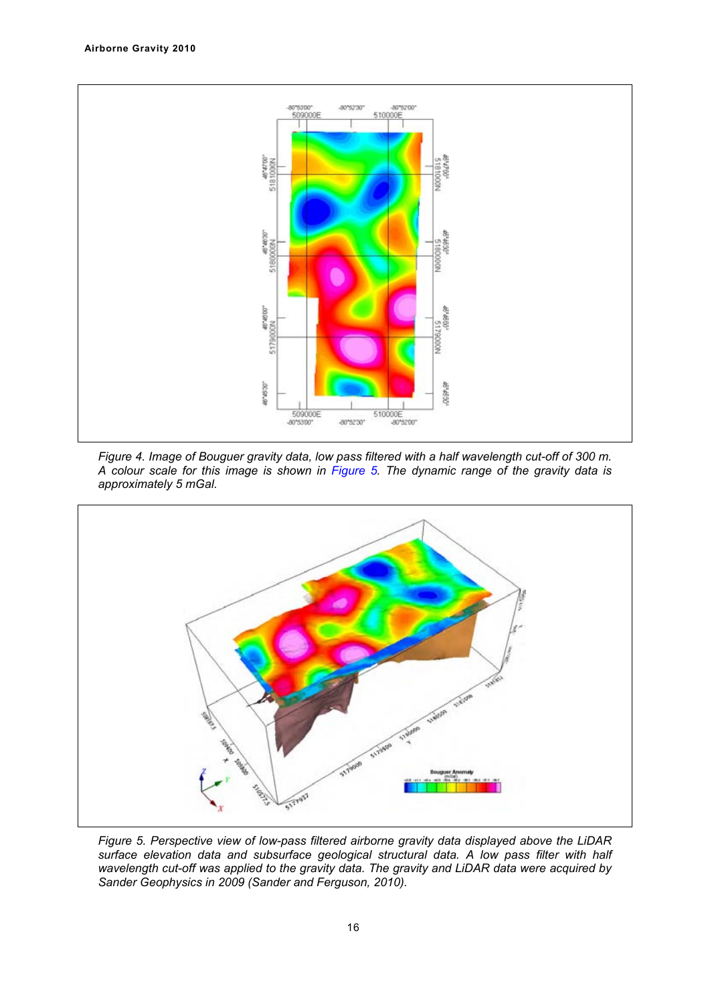





*Figure 5. Perspective view of low-pass filtered airborne gravity data displayed above the LiDAR surface elevation data and subsurface geological structural data. A low pass filter with half wavelength cut-off was applied to the gravity data. The gravity and LiDAR data were acquired by Sander Geophysics in 2009 (Sander and Ferguson, 2010).*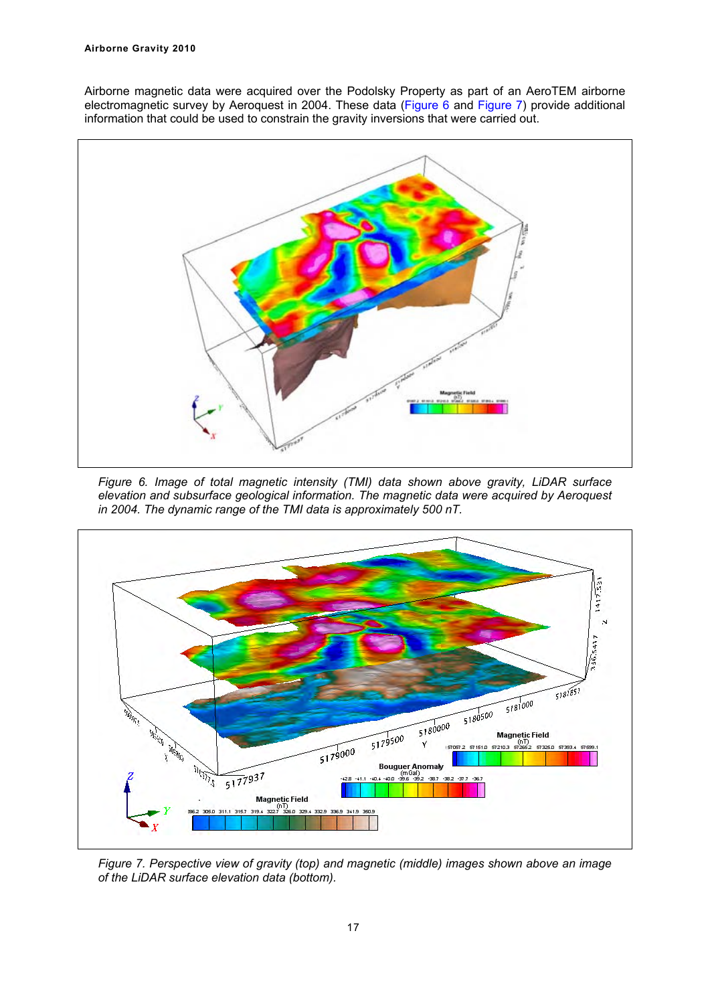Airborne magnetic data were acquired over the Podolsky Property as part of an AeroTEM airborne electromagnetic survey by Aeroquest in 2004. These data (Figure 6 and Figure 7) provide additional information that could be used to constrain the gravity inversions that were carried out.



*Figure 6. Image of total magnetic intensity (TMI) data shown above gravity, LiDAR surface elevation and subsurface geological information. The magnetic data were acquired by Aeroquest in 2004. The dynamic range of the TMI data is approximately 500 nT.* 



*Figure 7. Perspective view of gravity (top) and magnetic (middle) images shown above an image of the LiDAR surface elevation data (bottom).*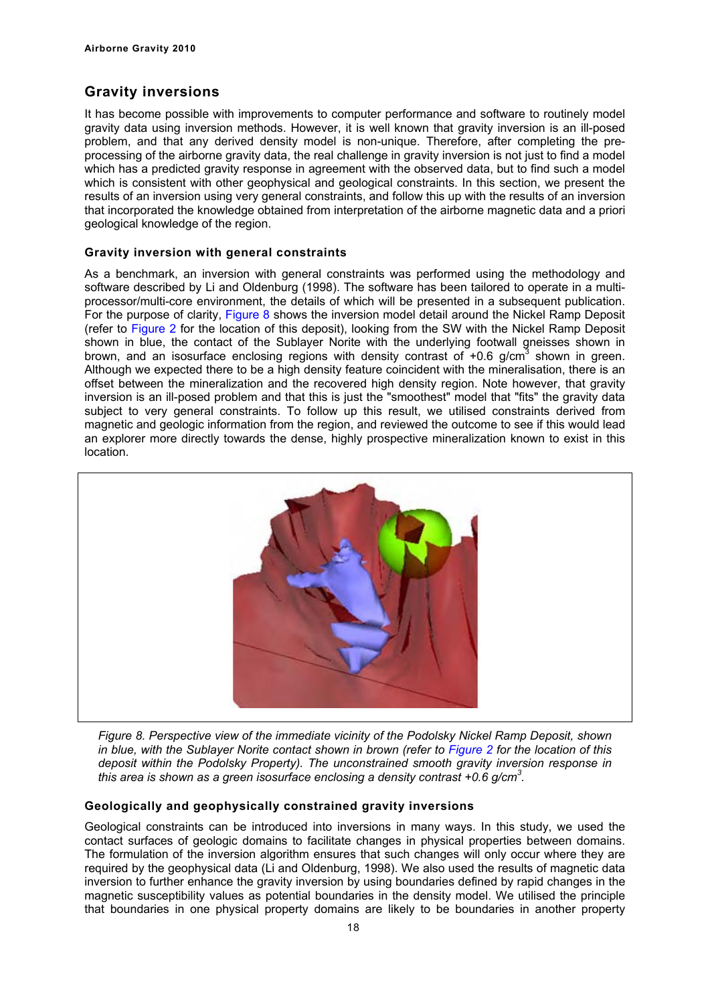# **Gravity inversions**

It has become possible with improvements to computer performance and software to routinely model gravity data using inversion methods. However, it is well known that gravity inversion is an ill-posed problem, and that any derived density model is non-unique. Therefore, after completing the preprocessing of the airborne gravity data, the real challenge in gravity inversion is not just to find a model which has a predicted gravity response in agreement with the observed data, but to find such a model which is consistent with other geophysical and geological constraints. In this section, we present the results of an inversion using very general constraints, and follow this up with the results of an inversion that incorporated the knowledge obtained from interpretation of the airborne magnetic data and a priori geological knowledge of the region.

#### **Gravity inversion with general constraints**

As a benchmark, an inversion with general constraints was performed using the methodology and software described by Li and Oldenburg (1998). The software has been tailored to operate in a multiprocessor/multi-core environment, the details of which will be presented in a subsequent publication. For the purpose of clarity, Figure 8 shows the inversion model detail around the Nickel Ramp Deposit (refer to Figure 2 for the location of this deposit), looking from the SW with the Nickel Ramp Deposit shown in blue, the contact of the Sublayer Norite with the underlying footwall gneisses shown in brown, and an isosurface enclosing regions with density contrast of  $+0.6$  g/cm<sup>3</sup> shown in green. Although we expected there to be a high density feature coincident with the mineralisation, there is an offset between the mineralization and the recovered high density region. Note however, that gravity inversion is an ill-posed problem and that this is just the "smoothest" model that "fits" the gravity data subject to very general constraints. To follow up this result, we utilised constraints derived from magnetic and geologic information from the region, and reviewed the outcome to see if this would lead an explorer more directly towards the dense, highly prospective mineralization known to exist in this location.



*Figure 8. Perspective view of the immediate vicinity of the Podolsky Nickel Ramp Deposit, shown in blue, with the Sublayer Norite contact shown in brown (refer to Figure 2 for the location of this deposit within the Podolsky Property). The unconstrained smooth gravity inversion response in this area is shown as a green isosurface enclosing a density contrast +0.6 g/cm3 .* 

#### **Geologically and geophysically constrained gravity inversions**

Geological constraints can be introduced into inversions in many ways. In this study, we used the contact surfaces of geologic domains to facilitate changes in physical properties between domains. The formulation of the inversion algorithm ensures that such changes will only occur where they are required by the geophysical data (Li and Oldenburg, 1998). We also used the results of magnetic data inversion to further enhance the gravity inversion by using boundaries defined by rapid changes in the magnetic susceptibility values as potential boundaries in the density model. We utilised the principle that boundaries in one physical property domains are likely to be boundaries in another property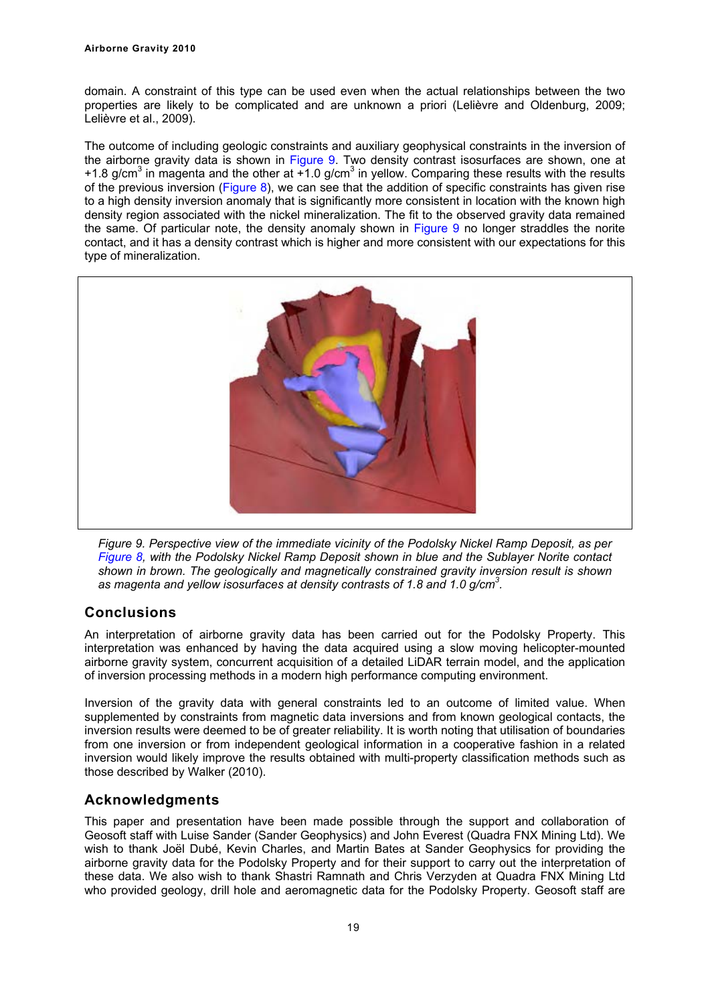domain. A constraint of this type can be used even when the actual relationships between the two properties are likely to be complicated and are unknown a priori (Lelièvre and Oldenburg, 2009; Lelièvre et al., 2009).

The outcome of including geologic constraints and auxiliary geophysical constraints in the inversion of the airborne gravity data is shown in Figure 9. Two density contrast isosurfaces are shown, one at +1.8 g/cm<sup>3</sup> in magenta and the other at  $+1.0$  g/cm<sup>3</sup> in yellow. Comparing these results with the results of the previous inversion (Figure 8), we can see that the addition of specific constraints has given rise to a high density inversion anomaly that is significantly more consistent in location with the known high density region associated with the nickel mineralization. The fit to the observed gravity data remained the same. Of particular note, the density anomaly shown in Figure 9 no longer straddles the norite contact, and it has a density contrast which is higher and more consistent with our expectations for this type of mineralization.





# **Conclusions**

An interpretation of airborne gravity data has been carried out for the Podolsky Property. This interpretation was enhanced by having the data acquired using a slow moving helicopter-mounted airborne gravity system, concurrent acquisition of a detailed LiDAR terrain model, and the application of inversion processing methods in a modern high performance computing environment.

Inversion of the gravity data with general constraints led to an outcome of limited value. When supplemented by constraints from magnetic data inversions and from known geological contacts, the inversion results were deemed to be of greater reliability. It is worth noting that utilisation of boundaries from one inversion or from independent geological information in a cooperative fashion in a related inversion would likely improve the results obtained with multi-property classification methods such as those described by Walker (2010).

# **Acknowledgments**

This paper and presentation have been made possible through the support and collaboration of Geosoft staff with Luise Sander (Sander Geophysics) and John Everest (Quadra FNX Mining Ltd). We wish to thank Joël Dubé, Kevin Charles, and Martin Bates at Sander Geophysics for providing the airborne gravity data for the Podolsky Property and for their support to carry out the interpretation of these data. We also wish to thank Shastri Ramnath and Chris Verzyden at Quadra FNX Mining Ltd who provided geology, drill hole and aeromagnetic data for the Podolsky Property. Geosoft staff are